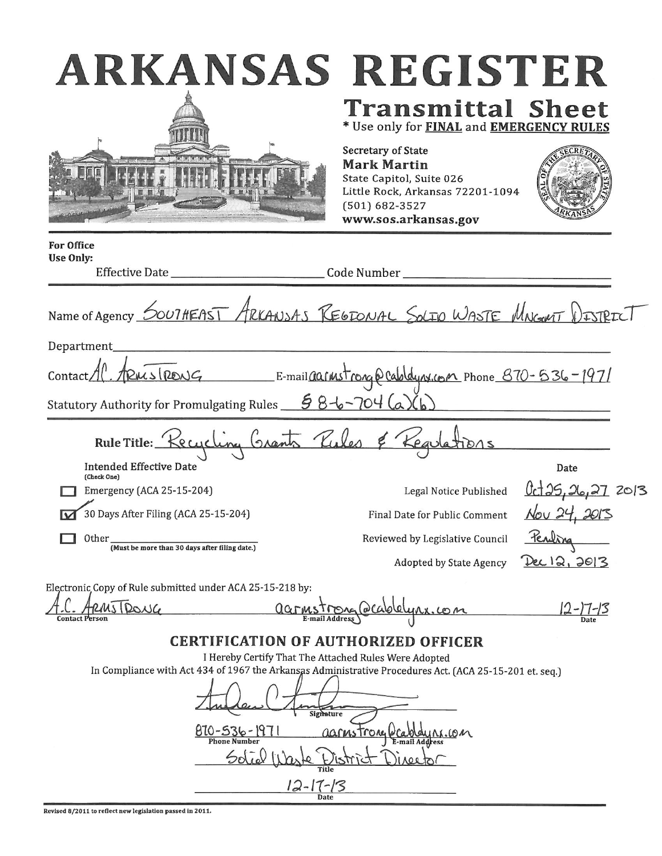| ARKANSAS REGISTER                                                                                                                                                                                                                                                                                                 | <b>Transmittal Sheet</b><br>* Use only for FINAL and EMERGENCY RULES<br>Secretary of State<br><b>Mark Martin</b><br>State Capitol, Suite 026<br>Little Rock, Arkansas 72201-1094<br>$(501) 682 - 3527$<br>www.sos.arkansas.gov |                     |
|-------------------------------------------------------------------------------------------------------------------------------------------------------------------------------------------------------------------------------------------------------------------------------------------------------------------|--------------------------------------------------------------------------------------------------------------------------------------------------------------------------------------------------------------------------------|---------------------|
| <b>For Office</b>                                                                                                                                                                                                                                                                                                 |                                                                                                                                                                                                                                |                     |
| Use Only:                                                                                                                                                                                                                                                                                                         |                                                                                                                                                                                                                                |                     |
| Name of Agency SOUTHEAST ARKANSAS REGIONAL SOLIO WASTE MNGEAT DISTRICT                                                                                                                                                                                                                                            |                                                                                                                                                                                                                                |                     |
| Department_                                                                                                                                                                                                                                                                                                       |                                                                                                                                                                                                                                |                     |
| Contact Al. ARNISTRENG E-mail across trong @ Cablelynx.com Phone 870-536-1971                                                                                                                                                                                                                                     |                                                                                                                                                                                                                                |                     |
| Statutory Authority for Promulgating Rules $\frac{586-704}{a)(b)}$                                                                                                                                                                                                                                                |                                                                                                                                                                                                                                |                     |
| Rule Title: Recycling Grants Pules & Kegulations                                                                                                                                                                                                                                                                  |                                                                                                                                                                                                                                |                     |
| <b>Intended Effective Date</b><br>(Check One)                                                                                                                                                                                                                                                                     |                                                                                                                                                                                                                                | Date                |
| Emergency (ACA 25-15-204)                                                                                                                                                                                                                                                                                         | Legal Notice Published                                                                                                                                                                                                         | 0c125, 26, 27, 2013 |
| 30 Days After Filing (ACA 25-15-204)                                                                                                                                                                                                                                                                              | Final Date for Public Comment                                                                                                                                                                                                  | Nov 24, 2013        |
| Other<br>(Must be more than 30 days after filing date.)                                                                                                                                                                                                                                                           | Reviewed by Legislative Council                                                                                                                                                                                                |                     |
|                                                                                                                                                                                                                                                                                                                   | <b>Adopted by State Agency</b>                                                                                                                                                                                                 | 12,2013             |
| Electronic Copy of Rule submitted under ACA 25-15-218 by:                                                                                                                                                                                                                                                         |                                                                                                                                                                                                                                |                     |
| $1$ $DQVG$<br>$00 \text{cm}$<br>Contact Person                                                                                                                                                                                                                                                                    |                                                                                                                                                                                                                                |                     |
| <b>CERTIFICATION OF AUTHORIZED OFFICER</b><br>I Hereby Certify That The Attached Rules Were Adopted<br>In Compliance with Act 434 of 1967 the Arkansas Administrative Procedures Act. (ACA 25-15-201 et. seq.)<br>Signature<br>870-536-197<br>aarnstrong<br>.com<br><b>Phone Number</b><br>E-mail Address<br>Date |                                                                                                                                                                                                                                |                     |

Revised 8/2011 to reflect new legislation passed in 2011.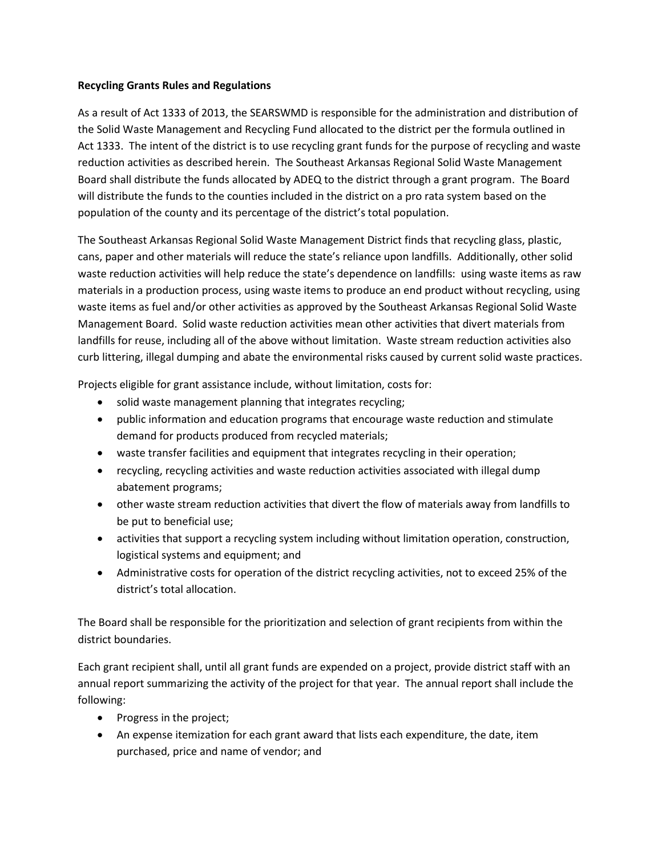## **Recycling Grants Rules and Regulations**

As a result of Act 1333 of 2013, the SEARSWMD is responsible for the administration and distribution of the Solid Waste Management and Recycling Fund allocated to the district per the formula outlined in Act 1333. The intent of the district is to use recycling grant funds for the purpose of recycling and waste reduction activities as described herein. The Southeast Arkansas Regional Solid Waste Management Board shall distribute the funds allocated by ADEQ to the district through a grant program. The Board will distribute the funds to the counties included in the district on a pro rata system based on the population of the county and its percentage of the district's total population.

The Southeast Arkansas Regional Solid Waste Management District finds that recycling glass, plastic, cans, paper and other materials will reduce the state's reliance upon landfills. Additionally, other solid waste reduction activities will help reduce the state's dependence on landfills: using waste items as raw materials in a production process, using waste items to produce an end product without recycling, using waste items as fuel and/or other activities as approved by the Southeast Arkansas Regional Solid Waste Management Board. Solid waste reduction activities mean other activities that divert materials from landfills for reuse, including all of the above without limitation. Waste stream reduction activities also curb littering, illegal dumping and abate the environmental risks caused by current solid waste practices.

Projects eligible for grant assistance include, without limitation, costs for:

- solid waste management planning that integrates recycling;
- public information and education programs that encourage waste reduction and stimulate demand for products produced from recycled materials;
- waste transfer facilities and equipment that integrates recycling in their operation;
- recycling, recycling activities and waste reduction activities associated with illegal dump abatement programs;
- other waste stream reduction activities that divert the flow of materials away from landfills to be put to beneficial use;
- activities that support a recycling system including without limitation operation, construction, logistical systems and equipment; and
- Administrative costs for operation of the district recycling activities, not to exceed 25% of the district's total allocation.

The Board shall be responsible for the prioritization and selection of grant recipients from within the district boundaries.

Each grant recipient shall, until all grant funds are expended on a project, provide district staff with an annual report summarizing the activity of the project for that year. The annual report shall include the following:

- Progress in the project;
- An expense itemization for each grant award that lists each expenditure, the date, item purchased, price and name of vendor; and